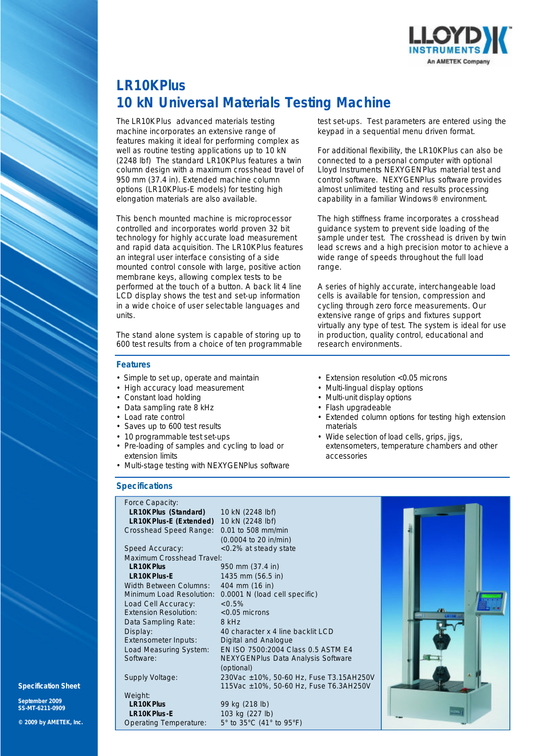

# **LR10K***Plus* **10 kN Universal Materials Testing Machine**

The LR10K*Plus* advanced materials testing machine incorporates an extensive range of features making it ideal for performing complex as well as routine testing applications up to 10 kN (2248 lbf) The standard LR10K*Plus* features a twin column design with a maximum crosshead travel of 950 mm (37.4 in). Extended machine column options (LR10K*Plus-*E models) for testing high elongation materials are also available.

This bench mounted machine is microprocessor controlled and incorporates world proven 32 bit technology for highly accurate load measurement and rapid data acquisition. The LR10K*Plus* features an integral user interface consisting of a side mounted control console with large, positive action membrane keys, allowing complex tests to be performed at the touch of a button. A back lit 4 line LCD display shows the test and set-up information in a wide choice of user selectable languages and units.

The stand alone system is capable of storing up to 600 test results from a choice of ten programmable

#### **Features**

- Simple to set up, operate and maintain
- High accuracy load measurement
- Constant load holding
- Data sampling rate 8 kHz
- Load rate control
- Saves up to 600 test results
- 10 programmable test set-ups
- Pre-loading of samples and cycling to load or extension limits
- Multi-stage testing with NEXYGEN*Plus* software

### **Specifications**

Force Capacity: **LR10K***Plus* **(Standard)** 10 kN (2248 lbf) **LR10K***Plus-***E (Extended)** 10 kN (2248 lbf) Crosshead Speed Range: 0.01 to 508 mm/min (0.0004 to 20 in/min) Speed Accuracy: <0.2% at steady state Maximum Crosshead Travel: **LR10K***Plus* 950 mm (37.4 in) **LR10K***Plus-***E** 1435 mm (56.5 in) Width Between Columns:<br>Minimum Load Resolution: 0.0001 N (load cell specific) Load Cell Accuracy:  $< 0.5\%$ <br>Extension Resolution:  $< 0.05$  microns Extension Resolution: Data Sampling Rate: 8 kHz Display: 40 character x 4 line backlit LCD Extensometer Inputs: Digital and Analogue Load Measuring System: EN ISO 7500:2004 Class 0.5 ASTM E4 Software: NEXYGEN*Plus* Data Analysis Software (optional) Supply Voltage: 230Vac ±10%, 50-60 Hz, Fuse T3.15AH250V 115Vac ±10%, 50-60 Hz, Fuse T6.3AH250V Weight:<br>LR10K Plus **LR10K***Plus* 99 kg (218 lb) **LR10K***Plus***-E** 103 kg (227 lb)

Operating Temperature: 5° to 35°C (41° to 95°F)

test set-ups. Test parameters are entered using the keypad in a sequential menu driven format.

For additional flexibility, the LR10K*Plus* can also be connected to a personal computer with optional Lloyd Instruments NEXYGEN*Plus* material test and control software. NEXYGEN*Plus* software provides almost unlimited testing and results processing capability in a familiar Windows® environment.

The high stiffness frame incorporates a crosshead guidance system to prevent side loading of the sample under test. The crosshead is driven by twin lead screws and a high precision motor to achieve a wide range of speeds throughout the full load range.

A series of highly accurate, interchangeable load cells is available for tension, compression and cycling through zero force measurements. Our extensive range of grips and fixtures support virtually any type of test. The system is ideal for use in production, quality control, educational and research environments.

- Extension resolution <0.05 microns
- Multi-lingual display options
- Multi-unit display options
- Flash upgradeable
- Extended column options for testing high extension materials
- Wide selection of load cells, grips, jigs, extensometers, temperature chambers and other accessories



**Specification Sheet**

**September 2009 SS-MT-6211-0909**

**© 2009 by AMETEK, Inc.**